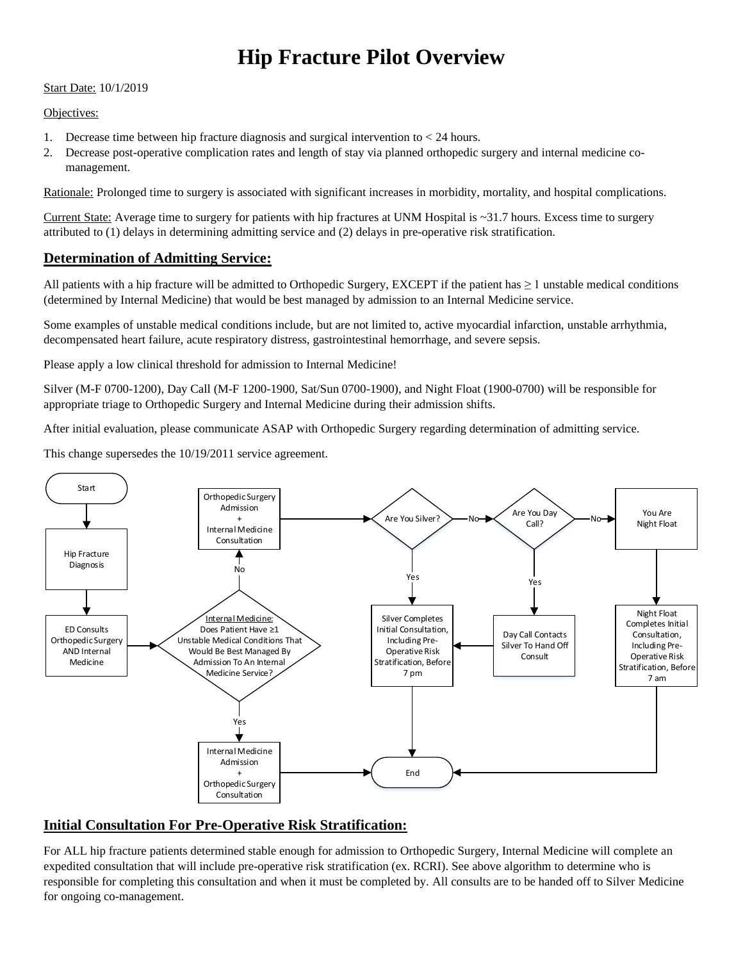# **Hip Fracture Pilot Overview**

## Start Date: 10/1/2019

### Objectives:

- 1. Decrease time between hip fracture diagnosis and surgical intervention to < 24 hours.
- 2. Decrease post-operative complication rates and length of stay via planned orthopedic surgery and internal medicine comanagement.

Rationale: Prolonged time to surgery is associated with significant increases in morbidity, mortality, and hospital complications.

Current State: Average time to surgery for patients with hip fractures at UNM Hospital is  $\sim$ 31.7 hours. Excess time to surgery attributed to (1) delays in determining admitting service and (2) delays in pre-operative risk stratification.

## **Determination of Admitting Service:**

All patients with a hip fracture will be admitted to Orthopedic Surgery, EXCEPT if the patient has  $\geq 1$  unstable medical conditions (determined by Internal Medicine) that would be best managed by admission to an Internal Medicine service.

Some examples of unstable medical conditions include, but are not limited to, active myocardial infarction, unstable arrhythmia, decompensated heart failure, acute respiratory distress, gastrointestinal hemorrhage, and severe sepsis.

Please apply a low clinical threshold for admission to Internal Medicine!

Silver (M-F 0700-1200), Day Call (M-F 1200-1900, Sat/Sun 0700-1900), and Night Float (1900-0700) will be responsible for appropriate triage to Orthopedic Surgery and Internal Medicine during their admission shifts.

After initial evaluation, please communicate ASAP with Orthopedic Surgery regarding determination of admitting service.

This change supersedes the 10/19/2011 service agreement.



## **Initial Consultation For Pre-Operative Risk Stratification:**

For ALL hip fracture patients determined stable enough for admission to Orthopedic Surgery, Internal Medicine will complete an expedited consultation that will include pre-operative risk stratification (ex. RCRI). See above algorithm to determine who is responsible for completing this consultation and when it must be completed by. All consults are to be handed off to Silver Medicine for ongoing co-management.